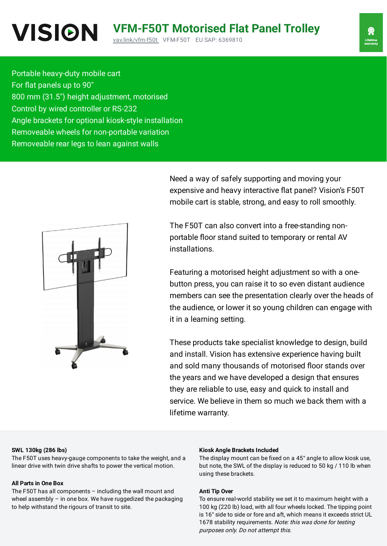Portable heavy-duty mobile cart For flat panels up to 90" 800 mm (31.5″) height adjustment, motorised Control by wired controller or RS-232 Angle brackets for optional kiosk-style installation Removeable wheels for non-portable variation Removeable rear legs to lean against walls



Need a way of safely supporting and moving your expensive and heavy interactive flat panel? Vision's F50T mobile cart is stable, strong, and easy to roll smoothly.

The F50T can also convert into a free-standing nonportable floor stand suited to temporary or rental AV installations.

Featuring a motorised height adjustment so with a onebutton press, you can raise it to so even distant audience members can see the presentation clearly over the heads of the audience, or lower it so young children can engage with it in a learning setting.

These products take specialist knowledge to design, build and install. Vision has extensive experience having built and sold many thousands of motorised floor stands over the years and we have developed a design that ensures they are reliable to use, easy and quick to install and service. We believe in them so much we back them with a lifetime warranty.

## **SWL 130kg (286 lbs)**

The F50T uses heavy-gauge components to take the weight, and a linear drive with twin drive shafts to power the vertical motion.

## **All Parts in One Box**

The F50T has all components – including the wall mount and wheel assembly – in one box. We have ruggedized the packaging to help withstand the rigours of transit to site.

#### **Kiosk Angle Brackets Included**

The display mount can be fixed on a 45° angle to allow kiosk use, but note, the SWL of the display is reduced to 50 kg / 110 lb when using these brackets.

#### **Anti Tip Over**

To ensure real-world stability we set it to maximum height with a 100 kg (220 lb) load, with all four wheels locked. The tipping point is 16° side to side or fore and aft, which means it exceeds strict UL 1678 stability requirements. Note: this was done for testing purposes only. Do not attempt this.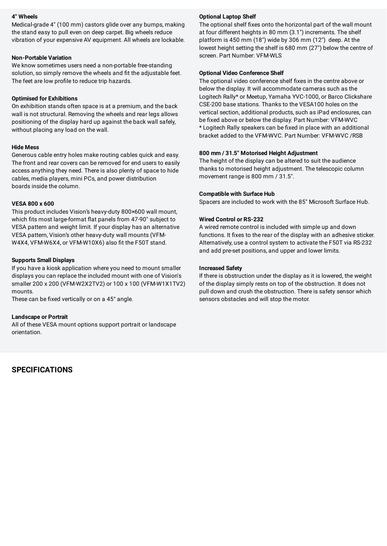### **4" Wheels**

Medical-grade 4″ (100 mm) castors glide over any bumps, making the stand easy to pull even on deep carpet. Big wheels reduce vibration of your expensive AV equipment. All wheels are lockable.

#### **Non-Portable Variation**

We know sometimes users need a non-portable free-standing solution, so simply remove the wheels and fit the adjustable feet. The feet are low profile to reduce trip hazards.

## **Optimised for Exhibitions**

On exhibition stands often space is at a premium, and the back wall is not structural. Removing the wheels and rear legs allows positioning of the display hard up against the back wall safely, without placing any load on the wall.

## **Hide Mess**

Generous cable entry holes make routing cables quick and easy. The front and rear covers can be removed for end users to easily access anything they need. There is also plenty of space to hide cables, media players, mini PCs, and power distribution boards inside the column.

## **VESA 800 x 600**

This product includes Vision's heavy-duty 800×600 wall mount, which fits most large-format flat panels from 47-90" subject to VESA pattern and weight limit. If your display has an alternative VESA pattern, Vision's other heavy-duty wall mounts (VFM-W4X4, VFM-W6X4, or VFM-W10X6) also fit the F50T stand.

## **Supports Small Displays**

If you have a kiosk application where you need to mount smaller displays you can replace the included mount with one of Vision's smaller 200 x 200 (VFM-W2X2TV2) or 100 x 100 (VFM-W1X1TV2) mounts.

These can be fixed vertically or on a 45° angle.

## **Landscape or Portrait**

All of these VESA mount options support portrait or landscape orientation.

**SPECIFICATIONS**

## **Optional Laptop Shelf**

The optional shelf fixes onto the horizontal part of the wall mount at four different heights in 80 mm (3.1″) increments. The shelf platform is 450 mm (18″) wide by 306 mm (12") deep. At the lowest height setting the shelf is 680 mm (27″) below the centre of screen. Part Number: VFM-WLS

## **Optional Video Conference Shelf**

The optional video conference shelf fixes in the centre above or below the display. It will accommodate cameras such as the Logitech Rally\* or Meetup, Yamaha YVC-1000, or Barco Clickshare CSE-200 base stations. Thanks to the VESA100 holes on the vertical section, additional products, such as iPad enclosures, can be fixed above or below the display. Part Number: VFM-WVC \* Logitech Rally speakers can be fixed in place with an additional bracket added to the VFM-WVC. Part Number: VFM-WVC /RSB

## **800 mm / 31.5" Motorised Height Adjustment**

The height of the display can be altered to suit the audience thanks to motorised height adjustment. The telescopic column movement range is 800 mm / 31.5″.

## **Compatible with Surface Hub**

Spacers are included to work with the 85" Microsoft Surface Hub.

## **Wired Control or RS-232**

A wired remote control is included with simple up and down functions. It fixes to the rear of the display with an adhesive sticker. Alternatively, use a control system to activate the F50T via RS-232 and add pre-set positions, and upper and lower limits.

## **Increased Safety**

If there is obstruction under the display as it is lowered, the weight of the display simply rests on top of the obstruction. It does not pull down and crush the obstruction. There is safety sensor which sensors obstacles and will stop the motor.